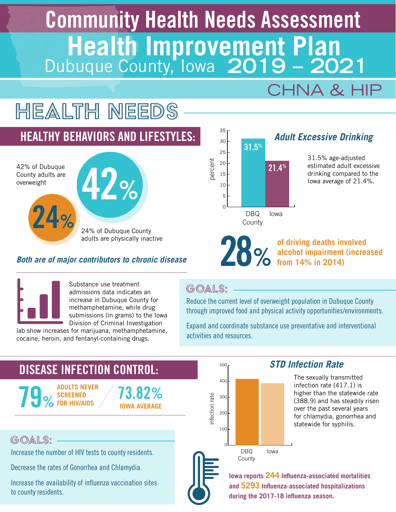# Community Health Needs Assessment **Health Improvement Plan**<br>Dubuque County, Iowa 2019 - 2021

# CHNA & HIP

# Health needs

# HEALTHY BEHAVIORS AND LIFESTYLES:

42% of Dubuque County adults are overweight

42% 24% 24% of Dubuque County adults are physically inactive

#### *Both are of major contributors to chronic disease*



28% **of driving deaths involved alcohol impairment (increased from 14% in 2014)**

Substance use treatment admissions data indicates an increase in Dubuque County for methamphetamine, while drug submissions (in grams) to the Iowa Division of Criminal Investigation

lab show increases for marijuana, methamphetamine, cocaine, heroin, and fentanyl-containing drugs.

## GOALS:

Reduce the current level of overweight population in Dubuque County through improved food and physical activity opportunities/environments.

Expand and coordinate substance use preventative and interventional activities and resources.